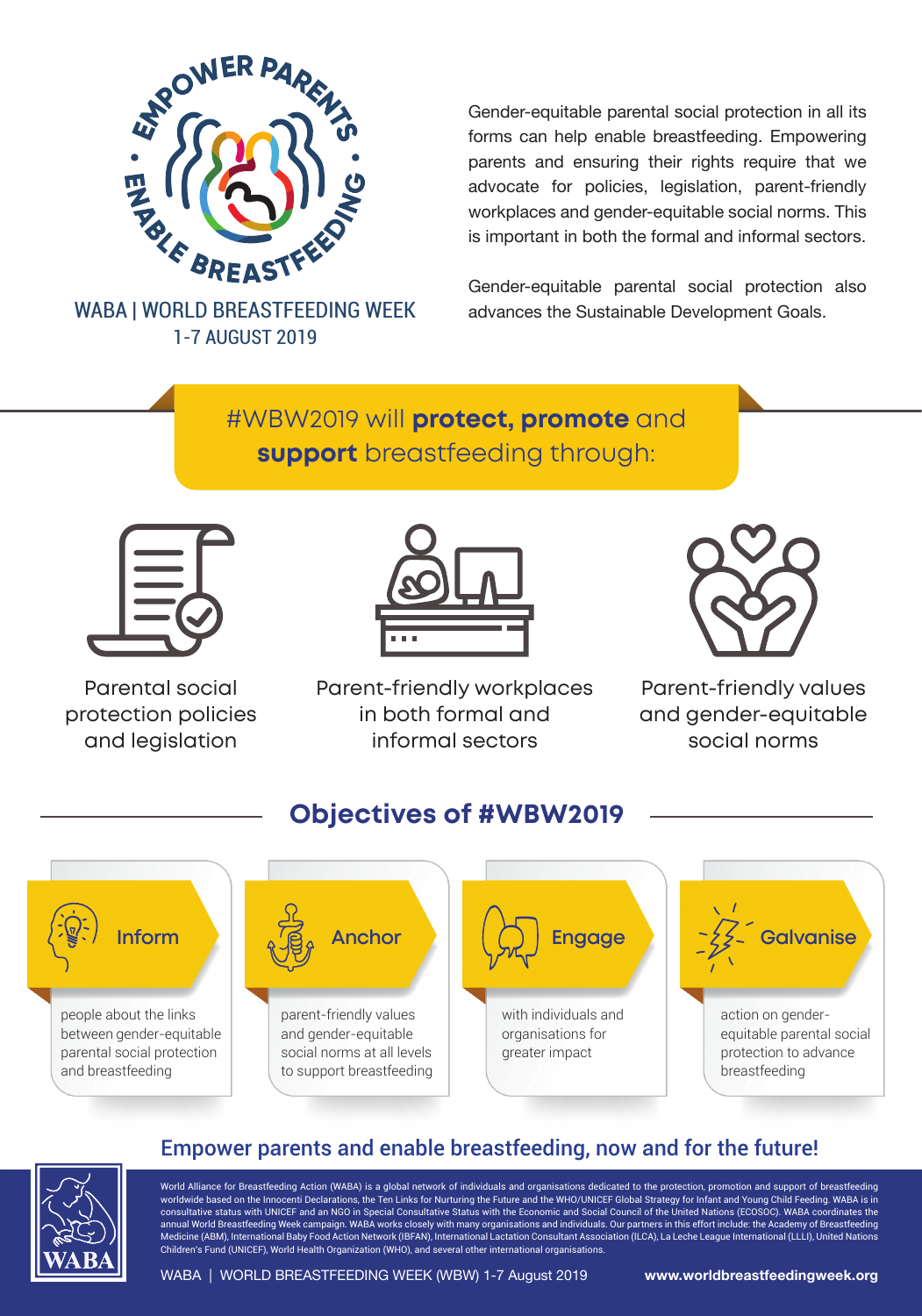

1-7 AUGUST 2019

Gender-equitable parental social protection in all its forms can help enable breastfeeding. Empowering parents and ensuring their rights require that we advocate for policies, legislation, parent-friendly workplaces and gender-equitable social norms. This is important in both the formal and informal sectors.

Gender-equitable parental social protection also WABA | WORLD BREASTFEEDING WEEK advances the Sustainable Development Goals.

# #WBW2019 will **protect, promote** and **support** breastfeeding through:



Parental social protection policies and legislation



Parent-friendly workplaces in both formal and informal sectors



Parent-friendly values and gender-equitable social norms

#### people about the links between gender-equitable parental social protection and breastfeeding **Inform Anchor** parent-friendly values and gender-equitable social norms at all levels to support breastfeeding **Engage** with individuals and organisations for greater impact **Galvanise** action on genderequitable parental social protection to advance breastfeeding **Objectives of #WBW2019**



## Empower parents and enable breastfeeding, now and for the future!

World Alliance for Breastfeeding Action (WABA) is a global network of individuals and organisations dedicated to the protection, promotion and support of breastfeeding worldwide based on the Innocenti Declarations, the Ten Links for Nurturing the Future and the WHO/UNICEF Global Strategy for Infant and Young Child Feeding. WABA is in consultative status with UNICEF and an NGO in Special Consultative Status with the Economic and Social Council of the United Nations (ECOSOC). WABA coordinates the annual World Breastfeeding Week campaign. WABA works closely with many organisations and individuals. Our partners in this effort include: the Academy of Breastfeeding Medicine (ABM), International Baby Food Action Network (IBFAN), International Lactation Consultant Association (ILCA), La Leche League International (LLLI), United Nations Children's Fund (UNICEF), World Health Organization (WHO), and several other international organisations.

WABA | WORLD BREASTFEEDING WEEK (WBW) 1-7 August 2019 **www.worldbreastfeedingweek.org**